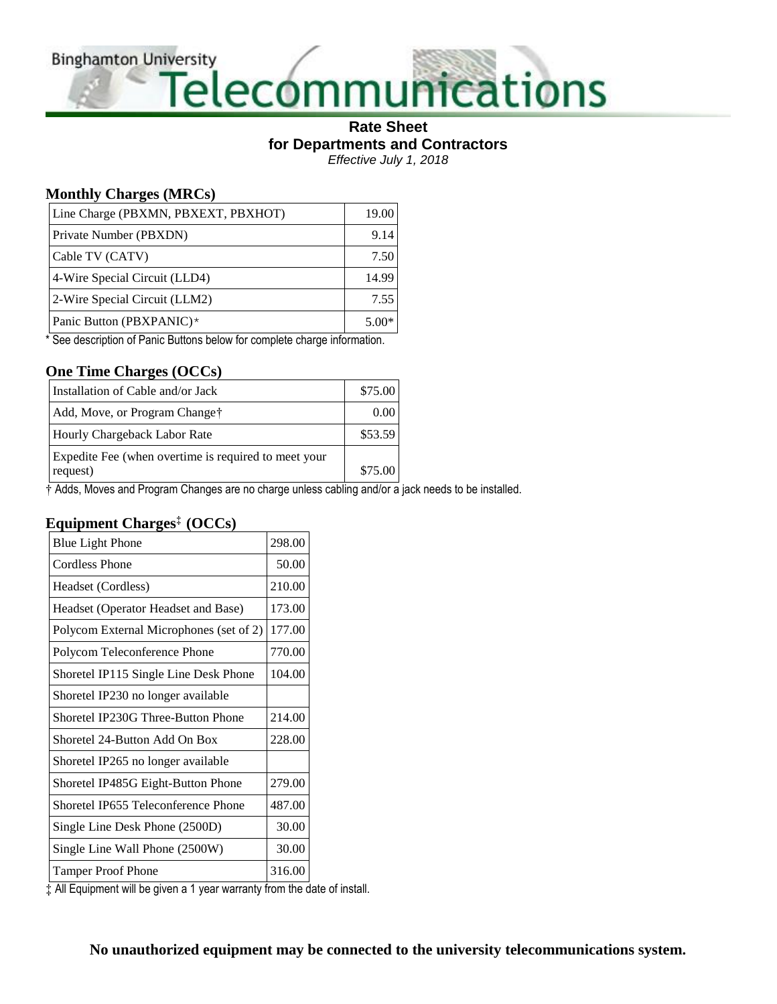**Binghamton University** 

# Versity<br>Telecommunications

#### **Rate Sheet for Departments and Contractors** *Effective July 1, 2018*

## **Monthly Charges (MRCs)**

| Line Charge (PBXMN, PBXEXT, PBXHOT) | 19.00   |
|-------------------------------------|---------|
| Private Number (PBXDN)              | 9.14    |
| Cable TV (CATV)                     | 7.50    |
| 4-Wire Special Circuit (LLD4)       | 14.99   |
| 2-Wire Special Circuit (LLM2)       | 7.55    |
| Panic Button (PBXPANIC)*            | $5.00*$ |

\* See description of Panic Buttons below for complete charge information.

## **One Time Charges (OCCs)**

| Installation of Cable and/or Jack                                | \$75.00 |
|------------------------------------------------------------------|---------|
| Add, Move, or Program Change <sup>†</sup>                        | (0.00)  |
| Hourly Chargeback Labor Rate                                     | \$53.59 |
| Expedite Fee (when overtime is required to meet your<br>request) | \$75.00 |

† Adds, Moves and Program Changes are no charge unless cabling and/or a jack needs to be installed.

## **Equipment Charges‡ (OCCs)**

| <b>Blue Light Phone</b>                 | 298.00 |
|-----------------------------------------|--------|
| <b>Cordless Phone</b>                   | 50.00  |
| Headset (Cordless)                      | 210.00 |
| Headset (Operator Headset and Base)     | 173.00 |
| Polycom External Microphones (set of 2) | 177.00 |
| Polycom Teleconference Phone            | 770.00 |
| Shoretel IP115 Single Line Desk Phone   | 104.00 |
| Shoretel IP230 no longer available      |        |
| Shoretel IP230G Three-Button Phone      | 214.00 |
| Shoretel 24-Button Add On Box           | 228.00 |
| Shoretel IP265 no longer available      |        |
| Shoretel IP485G Eight-Button Phone      | 279.00 |
| Shoretel IP655 Teleconference Phone     | 487.00 |
| Single Line Desk Phone (2500D)          | 30.00  |
| Single Line Wall Phone (2500W)          | 30.00  |
| <b>Tamper Proof Phone</b>               | 316.00 |

‡ All Equipment will be given a 1 year warranty from the date of install.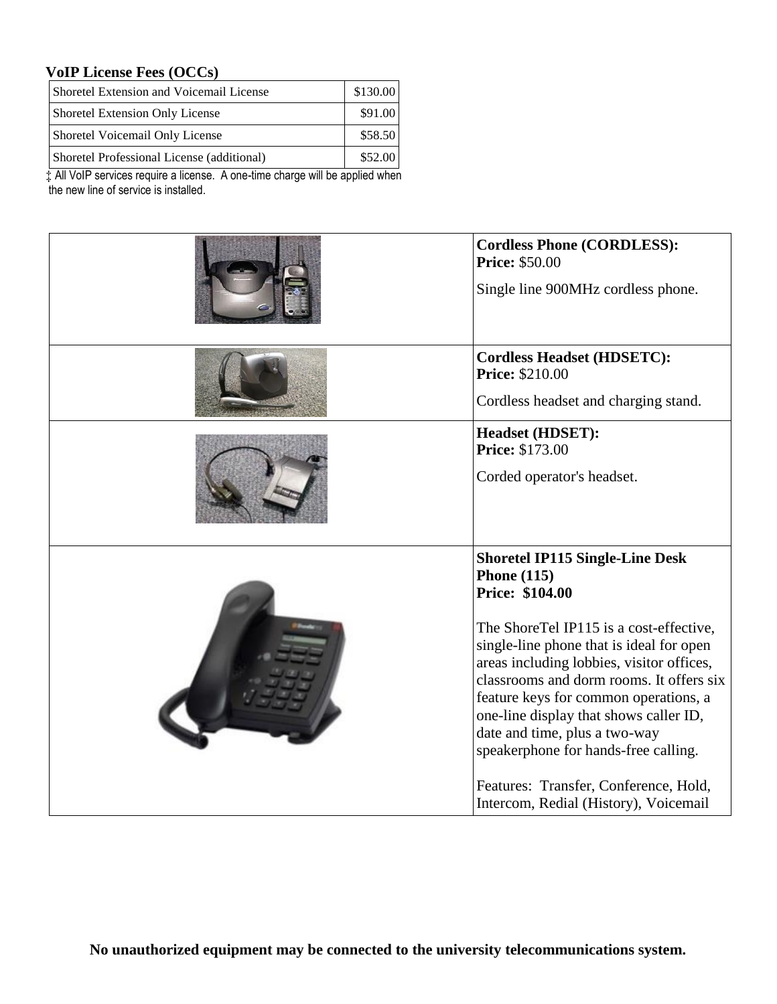## **VoIP License Fees (OCCs)**

| Shoretel Extension and Voicemail License   | \$130.00 |
|--------------------------------------------|----------|
| Shoretel Extension Only License            | \$91.00  |
| Shoretel Voicemail Only License            | \$58.50  |
| Shoretel Professional License (additional) | \$52.00  |

‡ All VoIP services require a license. A one-time charge will be applied when the new line of service is installed.

| <b>Cordless Phone (CORDLESS):</b><br><b>Price: \$50.00</b><br>Single line 900MHz cordless phone.                                                                                                                                                                                                                                                                                                                                                                                                              |
|---------------------------------------------------------------------------------------------------------------------------------------------------------------------------------------------------------------------------------------------------------------------------------------------------------------------------------------------------------------------------------------------------------------------------------------------------------------------------------------------------------------|
| <b>Cordless Headset (HDSETC):</b><br><b>Price: \$210.00</b><br>Cordless headset and charging stand.                                                                                                                                                                                                                                                                                                                                                                                                           |
| <b>Headset (HDSET):</b><br><b>Price: \$173.00</b><br>Corded operator's headset.                                                                                                                                                                                                                                                                                                                                                                                                                               |
| <b>Shoretel IP115 Single-Line Desk</b><br><b>Phone</b> (115)<br>Price: \$104.00<br>The ShoreTel IP115 is a cost-effective,<br>single-line phone that is ideal for open<br>areas including lobbies, visitor offices,<br>classrooms and dorm rooms. It offers six<br>feature keys for common operations, a<br>one-line display that shows caller ID,<br>date and time, plus a two-way<br>speakerphone for hands-free calling.<br>Features: Transfer, Conference, Hold,<br>Intercom, Redial (History), Voicemail |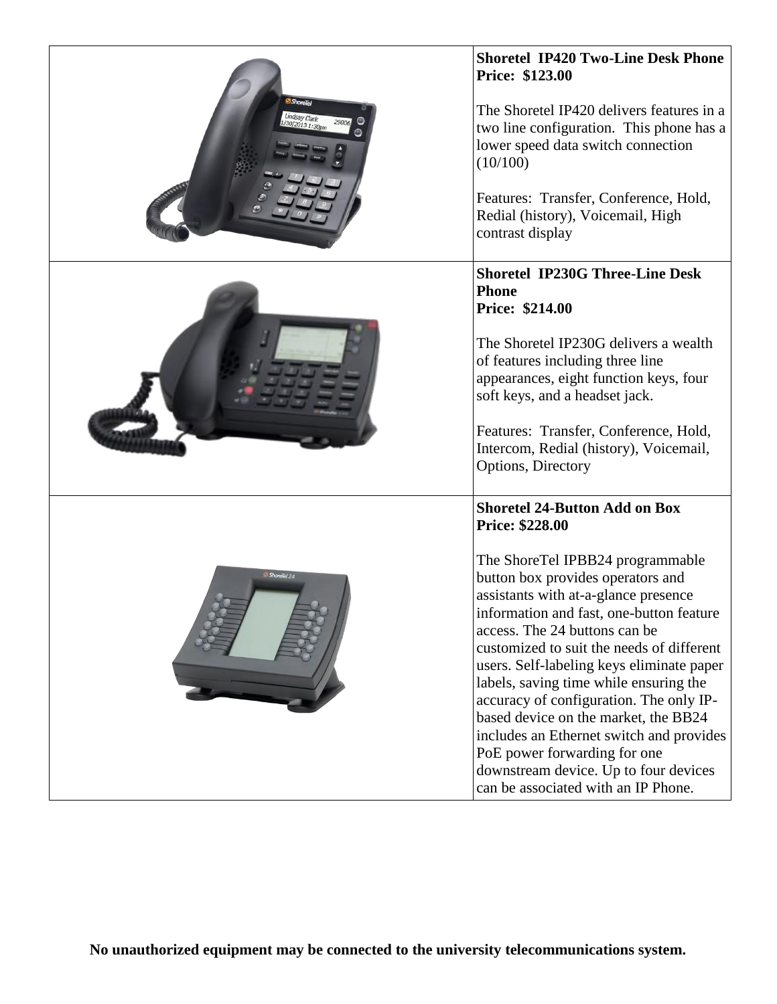| <b>ShoreTel</b><br>Lindsay Clark<br>(30/2013 1:30pm | <b>Shoretel IP420 Two-Line Desk Phone</b><br>Price: \$123.00<br>The Shoretel IP420 delivers features in a<br>two line configuration. This phone has a<br>lower speed data switch connection<br>(10/100)<br>Features: Transfer, Conference, Hold,<br>Redial (history), Voicemail, High<br>contrast display                                                                                                                                                                                                                                                                                                                                       |
|-----------------------------------------------------|-------------------------------------------------------------------------------------------------------------------------------------------------------------------------------------------------------------------------------------------------------------------------------------------------------------------------------------------------------------------------------------------------------------------------------------------------------------------------------------------------------------------------------------------------------------------------------------------------------------------------------------------------|
|                                                     | <b>Shoretel IP230G Three-Line Desk</b><br><b>Phone</b><br><b>Price: \$214.00</b><br>The Shoretel IP230G delivers a wealth<br>of features including three line<br>appearances, eight function keys, four<br>soft keys, and a headset jack.<br>Features: Transfer, Conference, Hold,<br>Intercom, Redial (history), Voicemail,<br>Options, Directory                                                                                                                                                                                                                                                                                              |
| ShoreTel 24                                         | <b>Shoretel 24-Button Add on Box</b><br><b>Price: \$228.00</b><br>The ShoreTel IPBB24 programmable<br>button box provides operators and<br>assistants with at-a-glance presence<br>information and fast, one-button feature<br>access. The 24 buttons can be<br>customized to suit the needs of different<br>users. Self-labeling keys eliminate paper<br>labels, saving time while ensuring the<br>accuracy of configuration. The only IP-<br>based device on the market, the BB24<br>includes an Ethernet switch and provides<br>PoE power forwarding for one<br>downstream device. Up to four devices<br>can be associated with an IP Phone. |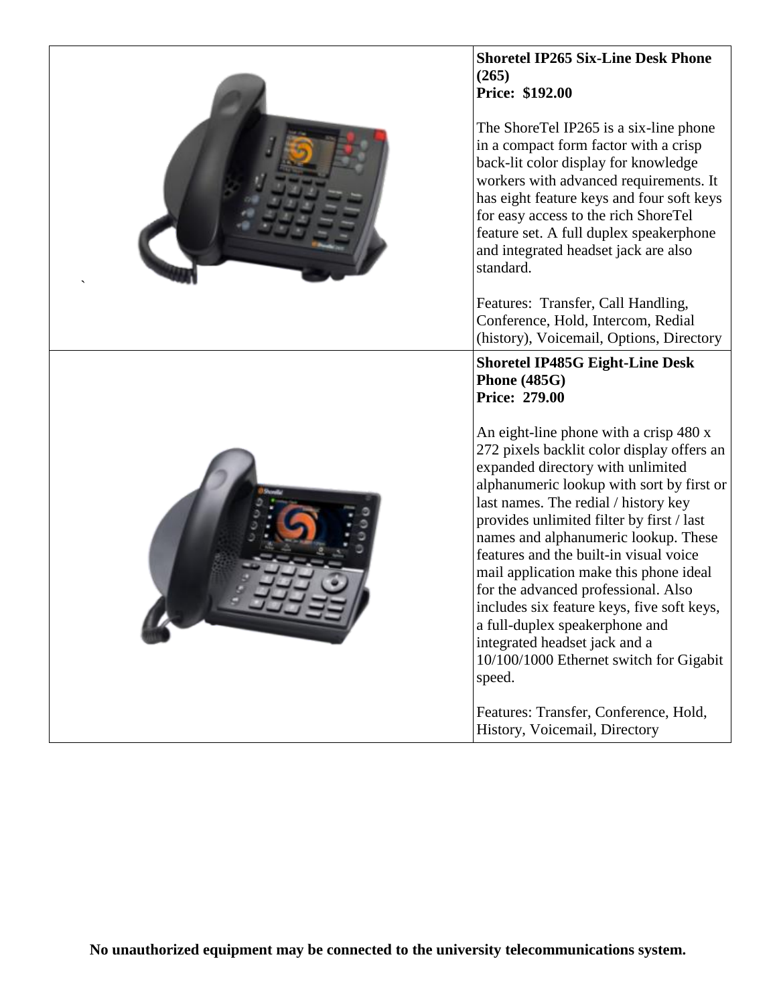| <b>Shoretel IP265 Six-Line Desk Phone</b><br>(265)<br><b>Price: \$192.00</b><br>The ShoreTel IP265 is a six-line phone<br>in a compact form factor with a crisp<br>back-lit color display for knowledge<br>workers with advanced requirements. It<br>has eight feature keys and four soft keys<br>for easy access to the rich ShoreTel<br>feature set. A full duplex speakerphone<br>and integrated headset jack are also<br>standard.                                                                                                                                                               |
|------------------------------------------------------------------------------------------------------------------------------------------------------------------------------------------------------------------------------------------------------------------------------------------------------------------------------------------------------------------------------------------------------------------------------------------------------------------------------------------------------------------------------------------------------------------------------------------------------|
| Features: Transfer, Call Handling,<br>Conference, Hold, Intercom, Redial<br>(history), Voicemail, Options, Directory                                                                                                                                                                                                                                                                                                                                                                                                                                                                                 |
| <b>Shoretel IP485G Eight-Line Desk</b><br><b>Phone</b> (485G)<br><b>Price: 279.00</b>                                                                                                                                                                                                                                                                                                                                                                                                                                                                                                                |
| An eight-line phone with a crisp 480 x<br>272 pixels backlit color display offers an<br>expanded directory with unlimited<br>alphanumeric lookup with sort by first or<br>last names. The redial / history key<br>provides unlimited filter by first / last<br>names and alphanumeric lookup. These<br>features and the built-in visual voice<br>mail application make this phone ideal<br>for the advanced professional. Also<br>includes six feature keys, five soft keys,<br>a full-duplex speakerphone and<br>integrated headset jack and a<br>10/100/1000 Ethernet switch for Gigabit<br>speed. |
| Features: Transfer, Conference, Hold,<br>History, Voicemail, Directory                                                                                                                                                                                                                                                                                                                                                                                                                                                                                                                               |